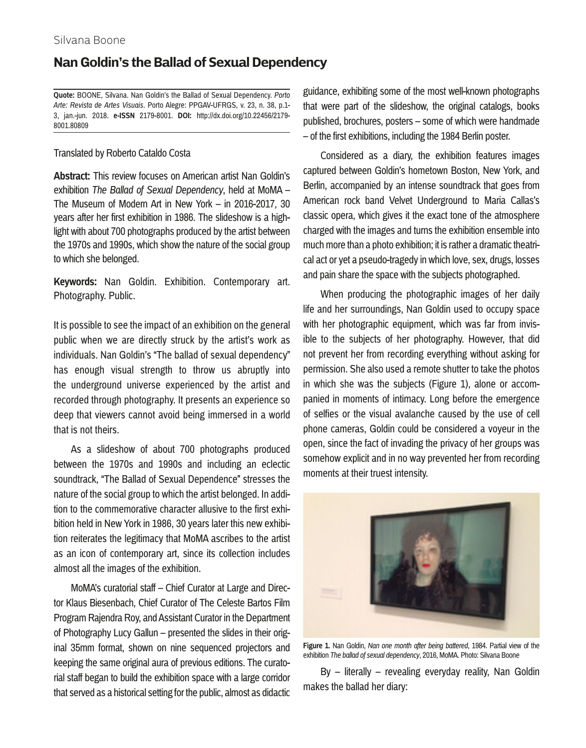## **Nan Goldin's the Ballad of Sexual Dependency**

**Quote:** BOONE, Silvana. Nan Goldin's the Ballad of Sexual Dependency. *Porto Arte: Revista de Artes Visuais*. Porto Alegre: PPGAV-UFRGS, v. 23, n. 38, p.1- 3, jan.-jun. 2018. **e-ISSN** 2179-8001. **DOI:** http://dx.doi.org/10.22456/2179- 8001.80809

## Translated by Roberto Cataldo Costa

**Abstract:** This review focuses on American artist Nan Goldin's exhibition *The Ballad of Sexual Dependency*, held at MoMA – The Museum of Modern Art in New York – in 2016-2017, 30 years after her first exhibition in 1986. The slideshow is a highlight with about 700 photographs produced by the artist between the 1970s and 1990s, which show the nature of the social group to which she belonged.

**Keywords:** Nan Goldin. Exhibition. Contemporary art. Photography. Public.

It is possible to see the impact of an exhibition on the general public when we are directly struck by the artist's work as individuals. Nan Goldin's "The ballad of sexual dependency" has enough visual strength to throw us abruptly into the underground universe experienced by the artist and recorded through photography. It presents an experience so deep that viewers cannot avoid being immersed in a world that is not theirs.

As a slideshow of about 700 photographs produced between the 1970s and 1990s and including an eclectic soundtrack, "The Ballad of Sexual Dependence" stresses the nature of the social group to which the artist belonged. In addition to the commemorative character allusive to the first exhibition held in New York in 1986, 30 years later this new exhibition reiterates the legitimacy that MoMA ascribes to the artist as an icon of contemporary art, since its collection includes almost all the images of the exhibition.

MoMA's curatorial staff – Chief Curator at Large and Director Klaus Biesenbach, Chief Curator of The Celeste Bartos Film Program Rajendra Roy, and Assistant Curator in the Department of Photography Lucy Gallun – presented the slides in their original 35mm format, shown on nine sequenced projectors and keeping the same original aura of previous editions. The curatorial staff began to build the exhibition space with a large corridor that served as a historical setting for the public, almost as didactic guidance, exhibiting some of the most well-known photographs that were part of the slideshow, the original catalogs, books published, brochures, posters – some of which were handmade – of the first exhibitions, including the 1984 Berlin poster.

Considered as a diary, the exhibition features images captured between Goldin's hometown Boston, New York, and Berlin, accompanied by an intense soundtrack that goes from American rock band Velvet Underground to Maria Callas's classic opera, which gives it the exact tone of the atmosphere charged with the images and turns the exhibition ensemble into much more than a photo exhibition; it is rather a dramatic theatrical act or yet a pseudo-tragedy in which love, sex, drugs, losses and pain share the space with the subjects photographed.

When producing the photographic images of her daily life and her surroundings, Nan Goldin used to occupy space with her photographic equipment, which was far from invisible to the subjects of her photography. However, that did not prevent her from recording everything without asking for permission. She also used a remote shutter to take the photos in which she was the subjects (Figure 1), alone or accompanied in moments of intimacy. Long before the emergence of selfies or the visual avalanche caused by the use of cell phone cameras, Goldin could be considered a voyeur in the open, since the fact of invading the privacy of her groups was somehow explicit and in no way prevented her from recording moments at their truest intensity.



**Figure 1.** Nan Goldin, *Nan one month after being battered*, 1984. Partial view of the exhibition *The ballad of sexual dependency*, 2016, MoMA. Photo: Silvana Boone

By – literally – revealing everyday reality, Nan Goldin makes the ballad her diary: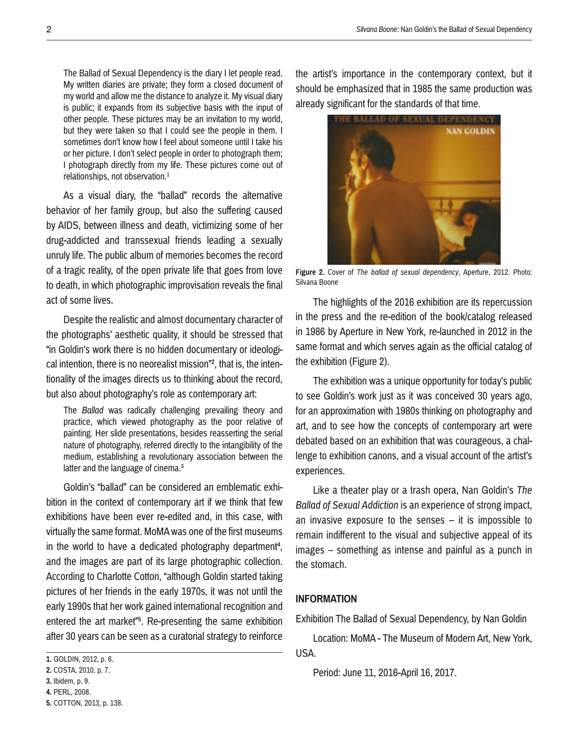The Ballad of Sexual Dependency is the diary I let people read. My written diaries are private; they form a closed document of my world and allow me the distance to analyze it. My visual diary is public; it expands from its subjective basis with the input of other people. These pictures may be an invitation to my world, but they were taken so that I could see the people in them. I sometimes don't know how I feel about someone until I take his or her picture. I don't select people in order to photograph them; I photograph directly from my life. These pictures come out of relationships, not observation.<sup>1</sup>

As a visual diary, the "ballad" records the alternative behavior of her family group, but also the suffering caused by AIDS, between illness and death, victimizing some of her drug-addicted and transsexual friends leading a sexually unruly life. The public album of memories becomes the record of a tragic reality, of the open private life that goes from love to death, in which photographic improvisation reveals the final act of some lives.

Despite the realistic and almost documentary character of the photographs' aesthetic quality, it should be stressed that "in Goldin's work there is no hidden documentary or ideological intention, there is no neorealist mission"2, that is, the intentionality of the images directs us to thinking about the record, but also about photography's role as contemporary art:

The *Ballad* was radically challenging prevailing theory and practice, which viewed photography as the poor relative of painting. Her slide presentations, besides reasserting the serial nature of photography, referred directly to the intangibility of the medium, establishing a revolutionary association between the latter and the language of cinema.<sup>3</sup>

Goldin's "ballad" can be considered an emblematic exhibition in the context of contemporary art if we think that few exhibitions have been ever re-edited and, in this case, with virtually the same format. MoMA was one of the first museums in the world to have a dedicated photography department<sup>4</sup>. and the images are part of its large photographic collection. According to Charlotte Cotton, "although Goldin started taking pictures of her friends in the early 1970s, it was not until the early 1990s that her work gained international recognition and entered the art market<sup>"5</sup>. Re-presenting the same exhibition after 30 years can be seen as a curatorial strategy to reinforce

- **3.** Ibidem, p. 9.
- **4.** PERL, 2008.

the artist's importance in the contemporary context, but it should be emphasized that in 1985 the same production was already significant for the standards of that time.



**Figure 2.** Cover of *The ballad of sexual dependency*, Aperture, 2012. Photo: Silvana Boone

The highlights of the 2016 exhibition are its repercussion in the press and the re-edition of the book/catalog released in 1986 by Aperture in New York, re-launched in 2012 in the same format and which serves again as the official catalog of the exhibition (Figure 2).

The exhibition was a unique opportunity for today's public to see Goldin's work just as it was conceived 30 years ago, for an approximation with 1980s thinking on photography and art, and to see how the concepts of contemporary art were debated based on an exhibition that was courageous, a challenge to exhibition canons, and a visual account of the artist's experiences.

Like a theater play or a trash opera, Nan Goldin's *The Ballad of Sexual Addiction* is an experience of strong impact, an invasive exposure to the senses – it is impossible to remain indifferent to the visual and subjective appeal of its images – something as intense and painful as a punch in the stomach.

## **INFORMATION**

Exhibition The Ballad of Sexual Dependency, by Nan Goldin

Location: MoMA - The Museum of Modern Art, New York, USA.

Period: June 11, 2016-April 16, 2017.

**<sup>1.</sup>** GOLDIN, 2012, p. 6.

**<sup>2.</sup>** COSTA, 2010, p. 7.

**<sup>5.</sup>** COTTON, 2013, p. 138.